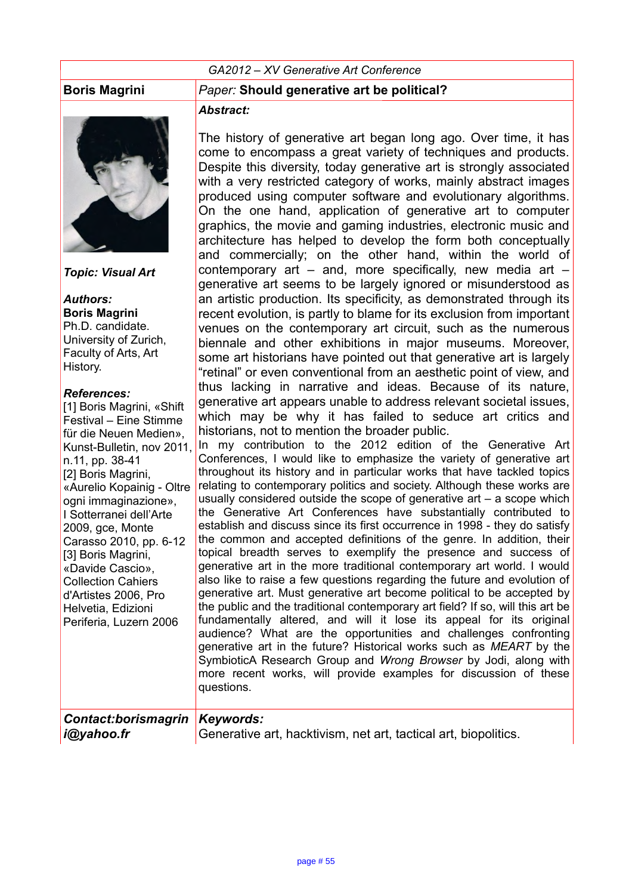#### *GA2012 – XV Generative Art Conference*



*Topic: Visual Art*

*Authors:* **Boris Magrini** Ph.D. candidate. University of Zurich, Faculty of Arts, Art History.

#### *References:*

[1] Boris Magrini, «Shift Festival – Eine Stimme für die Neuen Medien», Kunst-Bulletin, nov 2011, n.11, pp. 38-41 [2] Boris Magrini, «Aurelio Kopainig - Oltre ogni immaginazione», I Sotterranei dell'Arte 2009, gce, Monte Carasso 2010, pp. 6-12 [3] Boris Magrini, «Davide Cascio», Collection Cahiers d'Artistes 2006, Pro Helvetia, Edizioni Periferia, Luzern 2006

#### **Boris Magrini** *Paper:* **Should generative art be political?**

#### *Abstract:*

The history of generative art began long ago. Over time, it has come to encompass a great variety of techniques and products. Despite this diversity, today generative art is strongly associated with a very restricted category of works, mainly abstract images produced using computer software and evolutionary algorithms. On the one hand, application of generative art to computer graphics, the movie and gaming industries, electronic music and architecture has helped to develop the form both conceptually and commercially; on the other hand, within the world of contemporary art  $-$  and, more specifically, new media art  $$ generative art seems to be largely ignored or misunderstood as an artistic production. Its specificity, as demonstrated through its recent evolution, is partly to blame for its exclusion from important venues on the contemporary art circuit, such as the numerous biennale and other exhibitions in major museums. Moreover, some art historians have pointed out that generative art is largely "retinal" or even conventional from an aesthetic point of view, and thus lacking in narrative and ideas. Because of its nature, generative art appears unable to address relevant societal issues, which may be why it has failed to seduce art critics and historians, not to mention the broader public.

In my contribution to the 2012 edition of the Generative Art Conferences, I would like to emphasize the variety of generative art throughout its history and in particular works that have tackled topics relating to contemporary politics and society. Although these works are usually considered outside the scope of generative art – a scope which the Generative Art Conferences have substantially contributed to establish and discuss since its first occurrence in 1998 - they do satisfy the common and accepted definitions of the genre. In addition, their topical breadth serves to exemplify the presence and success of generative art in the more traditional contemporary art world. I would also like to raise a few questions regarding the future and evolution of generative art. Must generative art become political to be accepted by the public and the traditional contemporary art field? If so, will this art be fundamentally altered, and will it lose its appeal for its original audience? What are the opportunities and challenges confronting generative art in the future? Historical works such as *MEART* by the SymbioticA Research Group and *Wrong Browser* by Jodi, along with more recent works, will provide examples for discussion of these questions.

| Contact:borismagrin Keywords: |                                                                 |
|-------------------------------|-----------------------------------------------------------------|
| i@yahoo.fr                    | Generative art, hacktivism, net art, tactical art, biopolitics. |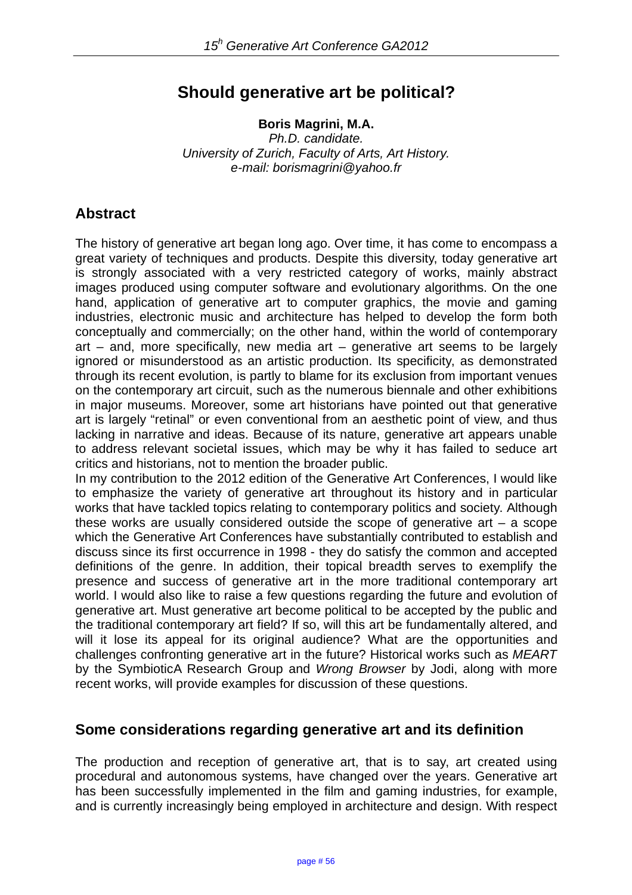# **Should generative art be political?**

**Boris Magrini, M.A.**

*Ph.D. candidate. University of Zurich, Faculty of Arts, Art History. e-mail: borismagrini@yahoo.fr*

## **Abstract**

The history of generative art began long ago. Over time, it has come to encompass a great variety of techniques and products. Despite this diversity, today generative art is strongly associated with a very restricted category of works, mainly abstract images produced using computer software and evolutionary algorithms. On the one hand, application of generative art to computer graphics, the movie and gaming industries, electronic music and architecture has helped to develop the form both conceptually and commercially; on the other hand, within the world of contemporary art – and, more specifically, new media art – generative art seems to be largely ignored or misunderstood as an artistic production. Its specificity, as demonstrated through its recent evolution, is partly to blame for its exclusion from important venues on the contemporary art circuit, such as the numerous biennale and other exhibitions in major museums. Moreover, some art historians have pointed out that generative art is largely "retinal" or even conventional from an aesthetic point of view, and thus lacking in narrative and ideas. Because of its nature, generative art appears unable to address relevant societal issues, which may be why it has failed to seduce art critics and historians, not to mention the broader public.

In my contribution to the 2012 edition of the Generative Art Conferences, I would like to emphasize the variety of generative art throughout its history and in particular works that have tackled topics relating to contemporary politics and society. Although these works are usually considered outside the scope of generative art  $-$  a scope which the Generative Art Conferences have substantially contributed to establish and discuss since its first occurrence in 1998 - they do satisfy the common and accepted definitions of the genre. In addition, their topical breadth serves to exemplify the presence and success of generative art in the more traditional contemporary art world. I would also like to raise a few questions regarding the future and evolution of generative art. Must generative art become political to be accepted by the public and the traditional contemporary art field? If so, will this art be fundamentally altered, and will it lose its appeal for its original audience? What are the opportunities and challenges confronting generative art in the future? Historical works such as *MEART* by the SymbioticA Research Group and *Wrong Browser* by Jodi, along with more recent works, will provide examples for discussion of these questions.

#### **Some considerations regarding generative art and its definition**

The production and reception of generative art, that is to say, art created using procedural and autonomous systems, have changed over the years. Generative art has been successfully implemented in the film and gaming industries, for example, and is currently increasingly being employed in architecture and design. With respect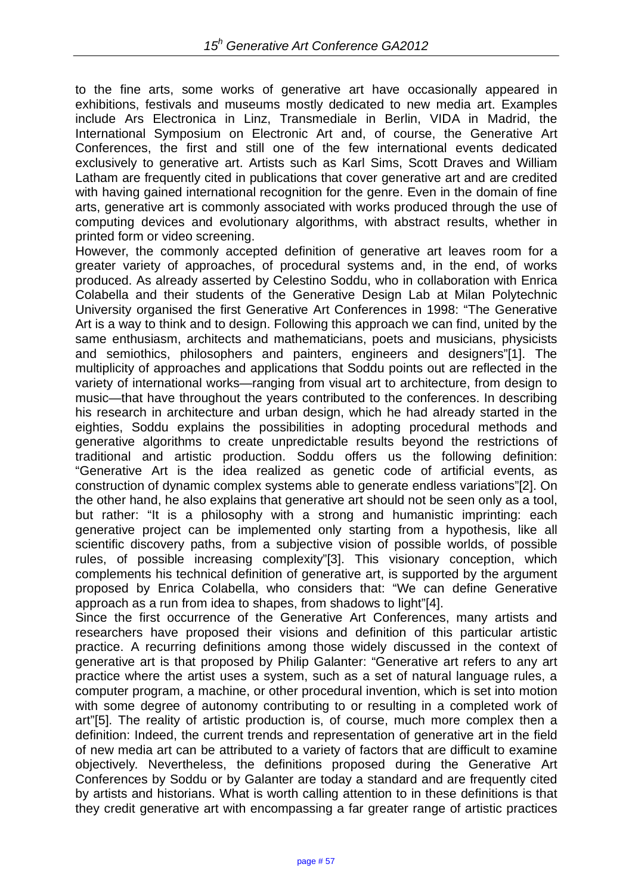to the fine arts, some works of generative art have occasionally appeared in exhibitions, festivals and museums mostly dedicated to new media art. Examples include Ars Electronica in Linz, Transmediale in Berlin, VIDA in Madrid, the International Symposium on Electronic Art and, of course, the Generative Art Conferences, the first and still one of the few international events dedicated exclusively to generative art. Artists such as Karl Sims, Scott Draves and William Latham are frequently cited in publications that cover generative art and are credited with having gained international recognition for the genre. Even in the domain of fine arts, generative art is commonly associated with works produced through the use of computing devices and evolutionary algorithms, with abstract results, whether in printed form or video screening.

However, the commonly accepted definition of generative art leaves room for a greater variety of approaches, of procedural systems and, in the end, of works produced. As already asserted by Celestino Soddu, who in collaboration with Enrica Colabella and their students of the Generative Design Lab at Milan Polytechnic University organised the first Generative Art Conferences in 1998: "The Generative Art is a way to think and to design. Following this approach we can find, united by the same enthusiasm, architects and mathematicians, poets and musicians, physicists and semiothics, philosophers and painters, engineers and designers"[1]. The multiplicity of approaches and applications that Soddu points out are reflected in the variety of international works—ranging from visual art to architecture, from design to music—that have throughout the years contributed to the conferences. In describing his research in architecture and urban design, which he had already started in the eighties, Soddu explains the possibilities in adopting procedural methods and generative algorithms to create unpredictable results beyond the restrictions of traditional and artistic production. Soddu offers us the following definition: "Generative Art is the idea realized as genetic code of artificial events, as construction of dynamic complex systems able to generate endless variations"[2]. On the other hand, he also explains that generative art should not be seen only as a tool, but rather: "It is a philosophy with a strong and humanistic imprinting: each generative project can be implemented only starting from a hypothesis, like all scientific discovery paths, from a subjective vision of possible worlds, of possible rules, of possible increasing complexity"[3]. This visionary conception, which complements his technical definition of generative art, is supported by the argument proposed by Enrica Colabella, who considers that: "We can define Generative approach as a run from idea to shapes, from shadows to light"[4].

Since the first occurrence of the Generative Art Conferences, many artists and researchers have proposed their visions and definition of this particular artistic practice. A recurring definitions among those widely discussed in the context of generative art is that proposed by Philip Galanter: "Generative art refers to any art practice where the artist uses a system, such as a set of natural language rules, a computer program, a machine, or other procedural invention, which is set into motion with some degree of autonomy contributing to or resulting in a completed work of art"[5]. The reality of artistic production is, of course, much more complex then a definition: Indeed, the current trends and representation of generative art in the field of new media art can be attributed to a variety of factors that are difficult to examine objectively. Nevertheless, the definitions proposed during the Generative Art Conferences by Soddu or by Galanter are today a standard and are frequently cited by artists and historians. What is worth calling attention to in these definitions is that they credit generative art with encompassing a far greater range of artistic practices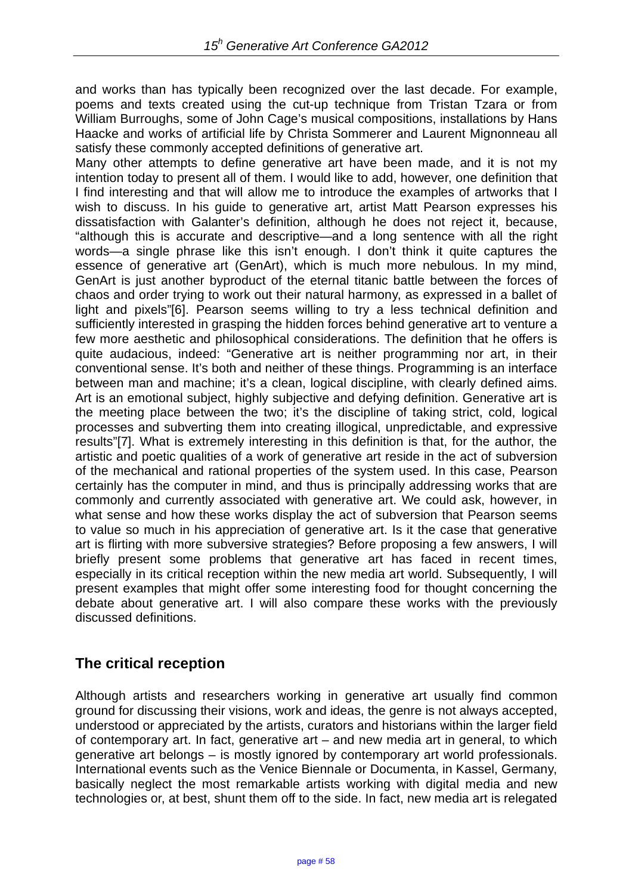and works than has typically been recognized over the last decade. For example, poems and texts created using the cut-up technique from Tristan Tzara or from William Burroughs, some of John Cage's musical compositions, installations by Hans Haacke and works of artificial life by Christa Sommerer and Laurent Mignonneau all satisfy these commonly accepted definitions of generative art.

Many other attempts to define generative art have been made, and it is not my intention today to present all of them. I would like to add, however, one definition that I find interesting and that will allow me to introduce the examples of artworks that I wish to discuss. In his guide to generative art, artist Matt Pearson expresses his dissatisfaction with Galanter's definition, although he does not reject it, because, "although this is accurate and descriptive—and a long sentence with all the right words—a single phrase like this isn't enough. I don't think it quite captures the essence of generative art (GenArt), which is much more nebulous. In my mind, GenArt is just another byproduct of the eternal titanic battle between the forces of chaos and order trying to work out their natural harmony, as expressed in a ballet of light and pixels"[6]. Pearson seems willing to try a less technical definition and sufficiently interested in grasping the hidden forces behind generative art to venture a few more aesthetic and philosophical considerations. The definition that he offers is quite audacious, indeed: "Generative art is neither programming nor art, in their conventional sense. It's both and neither of these things. Programming is an interface between man and machine; it's a clean, logical discipline, with clearly defined aims. Art is an emotional subject, highly subjective and defying definition. Generative art is the meeting place between the two; it's the discipline of taking strict, cold, logical processes and subverting them into creating illogical, unpredictable, and expressive results"[7]. What is extremely interesting in this definition is that, for the author, the artistic and poetic qualities of a work of generative art reside in the act of subversion of the mechanical and rational properties of the system used. In this case, Pearson certainly has the computer in mind, and thus is principally addressing works that are commonly and currently associated with generative art. We could ask, however, in what sense and how these works display the act of subversion that Pearson seems to value so much in his appreciation of generative art. Is it the case that generative art is flirting with more subversive strategies? Before proposing a few answers, I will briefly present some problems that generative art has faced in recent times, especially in its critical reception within the new media art world. Subsequently, I will present examples that might offer some interesting food for thought concerning the debate about generative art. I will also compare these works with the previously discussed definitions.

## **The critical reception**

Although artists and researchers working in generative art usually find common ground for discussing their visions, work and ideas, the genre is not always accepted, understood or appreciated by the artists, curators and historians within the larger field of contemporary art. In fact, generative art – and new media art in general, to which generative art belongs – is mostly ignored by contemporary art world professionals. International events such as the Venice Biennale or Documenta, in Kassel, Germany, basically neglect the most remarkable artists working with digital media and new technologies or, at best, shunt them off to the side. In fact, new media art is relegated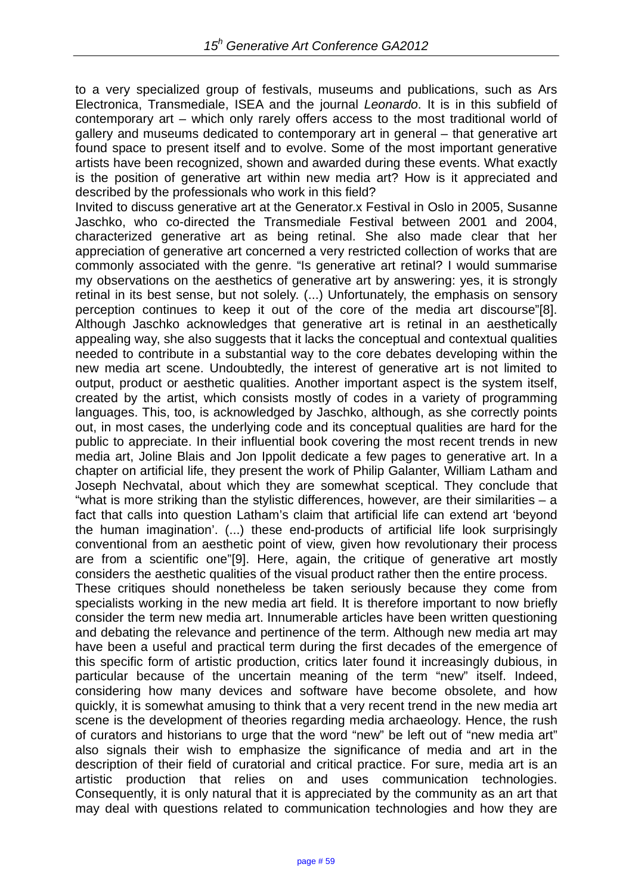to a very specialized group of festivals, museums and publications, such as Ars Electronica, Transmediale, ISEA and the journal *Leonardo*. It is in this subfield of contemporary art – which only rarely offers access to the most traditional world of gallery and museums dedicated to contemporary art in general – that generative art found space to present itself and to evolve. Some of the most important generative artists have been recognized, shown and awarded during these events. What exactly is the position of generative art within new media art? How is it appreciated and described by the professionals who work in this field?

Invited to discuss generative art at the Generator.x Festival in Oslo in 2005, Susanne Jaschko, who co-directed the Transmediale Festival between 2001 and 2004, characterized generative art as being retinal. She also made clear that her appreciation of generative art concerned a very restricted collection of works that are commonly associated with the genre. "Is generative art retinal? I would summarise my observations on the aesthetics of generative art by answering: yes, it is strongly retinal in its best sense, but not solely. (...) Unfortunately, the emphasis on sensory perception continues to keep it out of the core of the media art discourse"[8]. Although Jaschko acknowledges that generative art is retinal in an aesthetically appealing way, she also suggests that it lacks the conceptual and contextual qualities needed to contribute in a substantial way to the core debates developing within the new media art scene. Undoubtedly, the interest of generative art is not limited to output, product or aesthetic qualities. Another important aspect is the system itself, created by the artist, which consists mostly of codes in a variety of programming languages. This, too, is acknowledged by Jaschko, although, as she correctly points out, in most cases, the underlying code and its conceptual qualities are hard for the public to appreciate. In their influential book covering the most recent trends in new media art, Joline Blais and Jon Ippolit dedicate a few pages to generative art. In a chapter on artificial life, they present the work of Philip Galanter, William Latham and Joseph Nechvatal, about which they are somewhat sceptical. They conclude that "what is more striking than the stylistic differences, however, are their similarities – a fact that calls into question Latham's claim that artificial life can extend art 'beyond the human imagination'. (...) these end-products of artificial life look surprisingly conventional from an aesthetic point of view, given how revolutionary their process are from a scientific one"[9]. Here, again, the critique of generative art mostly considers the aesthetic qualities of the visual product rather then the entire process.

These critiques should nonetheless be taken seriously because they come from specialists working in the new media art field. It is therefore important to now briefly consider the term new media art. Innumerable articles have been written questioning and debating the relevance and pertinence of the term. Although new media art may have been a useful and practical term during the first decades of the emergence of this specific form of artistic production, critics later found it increasingly dubious, in particular because of the uncertain meaning of the term "new" itself. Indeed, considering how many devices and software have become obsolete, and how quickly, it is somewhat amusing to think that a very recent trend in the new media art scene is the development of theories regarding media archaeology. Hence, the rush of curators and historians to urge that the word "new" be left out of "new media art" also signals their wish to emphasize the significance of media and art in the description of their field of curatorial and critical practice. For sure, media art is an artistic production that relies on and uses communication technologies. Consequently, it is only natural that it is appreciated by the community as an art that may deal with questions related to communication technologies and how they are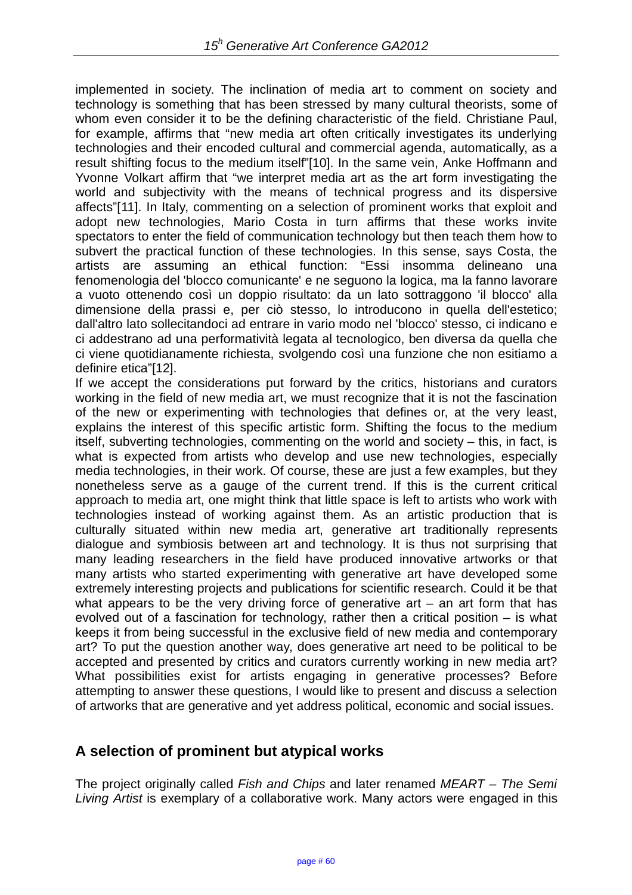implemented in society. The inclination of media art to comment on society and technology is something that has been stressed by many cultural theorists, some of whom even consider it to be the defining characteristic of the field. Christiane Paul, for example, affirms that "new media art often critically investigates its underlying technologies and their encoded cultural and commercial agenda, automatically, as a result shifting focus to the medium itself"[10]. In the same vein, Anke Hoffmann and Yvonne Volkart affirm that "we interpret media art as the art form investigating the world and subjectivity with the means of technical progress and its dispersive affects"[11]. In Italy, commenting on a selection of prominent works that exploit and adopt new technologies, Mario Costa in turn affirms that these works invite spectators to enter the field of communication technology but then teach them how to subvert the practical function of these technologies. In this sense, says Costa, the artists are assuming an ethical function: "Essi insomma delineano una fenomenologia del 'blocco comunicante' e ne seguono la logica, ma la fanno lavorare a vuoto ottenendo così un doppio risultato: da un lato sottraggono 'il blocco' alla dimensione della prassi e, per ciò stesso, lo introducono in quella dell'estetico; dall'altro lato sollecitandoci ad entrare in vario modo nel 'blocco' stesso, ci indicano e ci addestrano ad una performatività legata al tecnologico, ben diversa da quella che ci viene quotidianamente richiesta, svolgendo così una funzione che non esitiamo a definire etica"[12].

If we accept the considerations put forward by the critics, historians and curators working in the field of new media art, we must recognize that it is not the fascination of the new or experimenting with technologies that defines or, at the very least, explains the interest of this specific artistic form. Shifting the focus to the medium itself, subverting technologies, commenting on the world and society – this, in fact, is what is expected from artists who develop and use new technologies, especially media technologies, in their work. Of course, these are just a few examples, but they nonetheless serve as a gauge of the current trend. If this is the current critical approach to media art, one might think that little space is left to artists who work with technologies instead of working against them. As an artistic production that is culturally situated within new media art, generative art traditionally represents dialogue and symbiosis between art and technology. It is thus not surprising that many leading researchers in the field have produced innovative artworks or that many artists who started experimenting with generative art have developed some extremely interesting projects and publications for scientific research. Could it be that what appears to be the very driving force of generative art  $-$  an art form that has evolved out of a fascination for technology, rather then a critical position – is what keeps it from being successful in the exclusive field of new media and contemporary art? To put the question another way, does generative art need to be political to be accepted and presented by critics and curators currently working in new media art? What possibilities exist for artists engaging in generative processes? Before attempting to answer these questions, I would like to present and discuss a selection of artworks that are generative and yet address political, economic and social issues.

## **A selection of prominent but atypical works**

The project originally called *Fish and Chips* and later renamed *MEART – The Semi Living Artist* is exemplary of a collaborative work. Many actors were engaged in this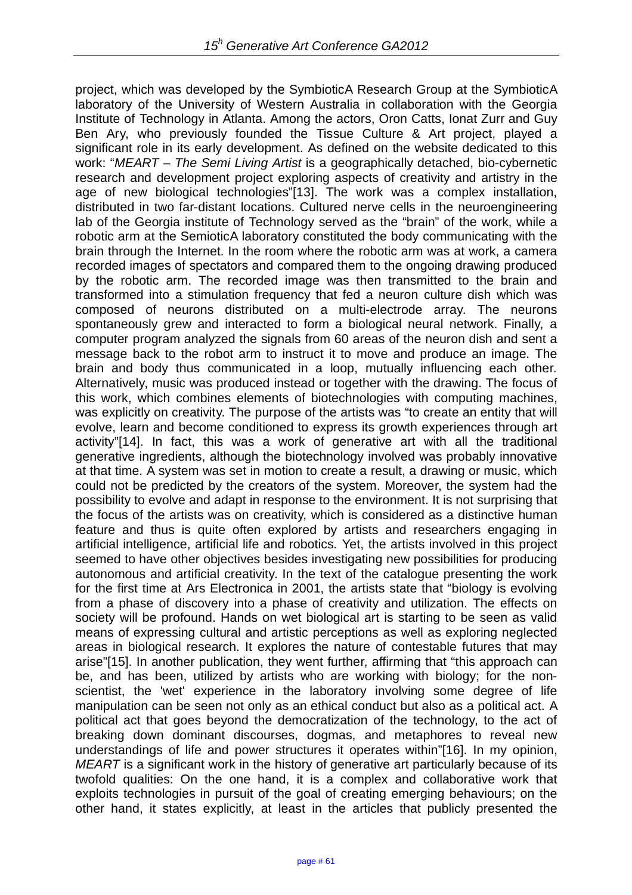project, which was developed by the SymbioticA Research Group at the SymbioticA laboratory of the University of Western Australia in collaboration with the Georgia Institute of Technology in Atlanta. Among the actors, Oron Catts, Ionat Zurr and Guy Ben Ary, who previously founded the Tissue Culture & Art project, played a significant role in its early development. As defined on the website dedicated to this work: "*MEART – The Semi Living Artist* is a geographically detached, bio-cybernetic research and development project exploring aspects of creativity and artistry in the age of new biological technologies"[13]. The work was a complex installation, distributed in two far-distant locations. Cultured nerve cells in the neuroengineering lab of the Georgia institute of Technology served as the "brain" of the work, while a robotic arm at the SemioticA laboratory constituted the body communicating with the brain through the Internet. In the room where the robotic arm was at work, a camera recorded images of spectators and compared them to the ongoing drawing produced by the robotic arm. The recorded image was then transmitted to the brain and transformed into a stimulation frequency that fed a neuron culture dish which was composed of neurons distributed on a multi-electrode array. The neurons spontaneously grew and interacted to form a biological neural network. Finally, a computer program analyzed the signals from 60 areas of the neuron dish and sent a message back to the robot arm to instruct it to move and produce an image. The brain and body thus communicated in a loop, mutually influencing each other. Alternatively, music was produced instead or together with the drawing. The focus of this work, which combines elements of biotechnologies with computing machines, was explicitly on creativity. The purpose of the artists was "to create an entity that will evolve, learn and become conditioned to express its growth experiences through art activity"[14]. In fact, this was a work of generative art with all the traditional generative ingredients, although the biotechnology involved was probably innovative at that time. A system was set in motion to create a result, a drawing or music, which could not be predicted by the creators of the system. Moreover, the system had the possibility to evolve and adapt in response to the environment. It is not surprising that the focus of the artists was on creativity, which is considered as a distinctive human feature and thus is quite often explored by artists and researchers engaging in artificial intelligence, artificial life and robotics. Yet, the artists involved in this project seemed to have other objectives besides investigating new possibilities for producing autonomous and artificial creativity. In the text of the catalogue presenting the work for the first time at Ars Electronica in 2001, the artists state that "biology is evolving from a phase of discovery into a phase of creativity and utilization. The effects on society will be profound. Hands on wet biological art is starting to be seen as valid means of expressing cultural and artistic perceptions as well as exploring neglected areas in biological research. It explores the nature of contestable futures that may arise"[15]. In another publication, they went further, affirming that "this approach can be, and has been, utilized by artists who are working with biology; for the nonscientist, the 'wet' experience in the laboratory involving some degree of life manipulation can be seen not only as an ethical conduct but also as a political act. A political act that goes beyond the democratization of the technology, to the act of breaking down dominant discourses, dogmas, and metaphores to reveal new understandings of life and power structures it operates within"[16]. In my opinion, *MEART* is a significant work in the history of generative art particularly because of its twofold qualities: On the one hand, it is a complex and collaborative work that exploits technologies in pursuit of the goal of creating emerging behaviours; on the other hand, it states explicitly, at least in the articles that publicly presented the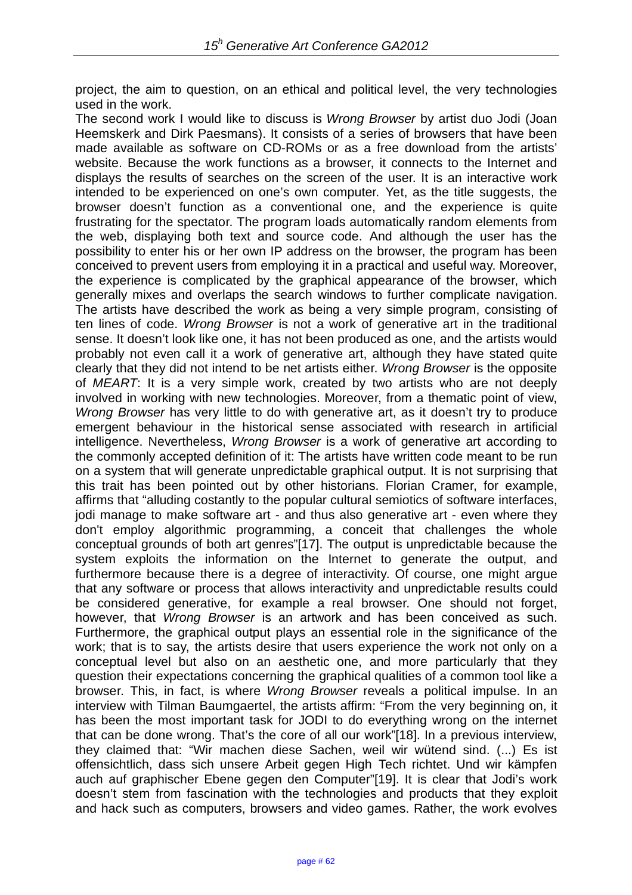project, the aim to question, on an ethical and political level, the very technologies used in the work.

The second work I would like to discuss is *Wrong Browser* by artist duo Jodi (Joan Heemskerk and Dirk Paesmans). It consists of a series of browsers that have been made available as software on CD-ROMs or as a free download from the artists' website. Because the work functions as a browser, it connects to the Internet and displays the results of searches on the screen of the user. It is an interactive work intended to be experienced on one's own computer. Yet, as the title suggests, the browser doesn't function as a conventional one, and the experience is quite frustrating for the spectator. The program loads automatically random elements from the web, displaying both text and source code. And although the user has the possibility to enter his or her own IP address on the browser, the program has been conceived to prevent users from employing it in a practical and useful way. Moreover, the experience is complicated by the graphical appearance of the browser, which generally mixes and overlaps the search windows to further complicate navigation. The artists have described the work as being a very simple program, consisting of ten lines of code. *Wrong Browser* is not a work of generative art in the traditional sense. It doesn't look like one, it has not been produced as one, and the artists would probably not even call it a work of generative art, although they have stated quite clearly that they did not intend to be net artists either. *Wrong Browser* is the opposite of *MEART*: It is a very simple work, created by two artists who are not deeply involved in working with new technologies. Moreover, from a thematic point of view, *Wrong Browser* has very little to do with generative art, as it doesn't try to produce emergent behaviour in the historical sense associated with research in artificial intelligence. Nevertheless, *Wrong Browser* is a work of generative art according to the commonly accepted definition of it: The artists have written code meant to be run on a system that will generate unpredictable graphical output. It is not surprising that this trait has been pointed out by other historians. Florian Cramer, for example, affirms that "alluding costantly to the popular cultural semiotics of software interfaces, jodi manage to make software art - and thus also generative art - even where they don't employ algorithmic programming, a conceit that challenges the whole conceptual grounds of both art genres"[17]. The output is unpredictable because the system exploits the information on the Internet to generate the output, and furthermore because there is a degree of interactivity. Of course, one might argue that any software or process that allows interactivity and unpredictable results could be considered generative, for example a real browser. One should not forget, however, that *Wrong Browser* is an artwork and has been conceived as such. Furthermore, the graphical output plays an essential role in the significance of the work; that is to say, the artists desire that users experience the work not only on a conceptual level but also on an aesthetic one, and more particularly that they question their expectations concerning the graphical qualities of a common tool like a browser. This, in fact, is where *Wrong Browser* reveals a political impulse. In an interview with Tilman Baumgaertel, the artists affirm: "From the very beginning on, it has been the most important task for JODI to do everything wrong on the internet that can be done wrong. That's the core of all our work"[18]. In a previous interview, they claimed that: "Wir machen diese Sachen, weil wir wütend sind. (...) Es ist offensichtlich, dass sich unsere Arbeit gegen High Tech richtet. Und wir kämpfen auch auf graphischer Ebene gegen den Computer"[19]. It is clear that Jodi's work doesn't stem from fascination with the technologies and products that they exploit and hack such as computers, browsers and video games. Rather, the work evolves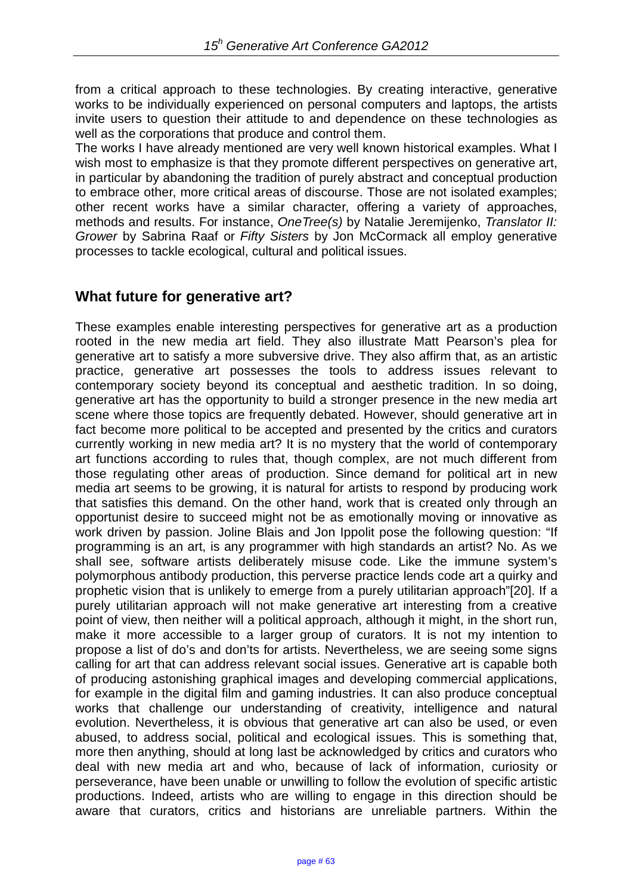from a critical approach to these technologies. By creating interactive, generative works to be individually experienced on personal computers and laptops, the artists invite users to question their attitude to and dependence on these technologies as well as the corporations that produce and control them.

The works I have already mentioned are very well known historical examples. What I wish most to emphasize is that they promote different perspectives on generative art, in particular by abandoning the tradition of purely abstract and conceptual production to embrace other, more critical areas of discourse. Those are not isolated examples; other recent works have a similar character, offering a variety of approaches, methods and results. For instance, *OneTree(s)* by Natalie Jeremijenko, *Translator II: Grower* by Sabrina Raaf or *Fifty Sisters* by Jon McCormack all employ generative processes to tackle ecological, cultural and political issues.

## **What future for generative art?**

These examples enable interesting perspectives for generative art as a production rooted in the new media art field. They also illustrate Matt Pearson's plea for generative art to satisfy a more subversive drive. They also affirm that, as an artistic practice, generative art possesses the tools to address issues relevant to contemporary society beyond its conceptual and aesthetic tradition. In so doing, generative art has the opportunity to build a stronger presence in the new media art scene where those topics are frequently debated. However, should generative art in fact become more political to be accepted and presented by the critics and curators currently working in new media art? It is no mystery that the world of contemporary art functions according to rules that, though complex, are not much different from those regulating other areas of production. Since demand for political art in new media art seems to be growing, it is natural for artists to respond by producing work that satisfies this demand. On the other hand, work that is created only through an opportunist desire to succeed might not be as emotionally moving or innovative as work driven by passion. Joline Blais and Jon Ippolit pose the following question: "If programming is an art, is any programmer with high standards an artist? No. As we shall see, software artists deliberately misuse code. Like the immune system's polymorphous antibody production, this perverse practice lends code art a quirky and prophetic vision that is unlikely to emerge from a purely utilitarian approach"[20]. If a purely utilitarian approach will not make generative art interesting from a creative point of view, then neither will a political approach, although it might, in the short run, make it more accessible to a larger group of curators. It is not my intention to propose a list of do's and don'ts for artists. Nevertheless, we are seeing some signs calling for art that can address relevant social issues. Generative art is capable both of producing astonishing graphical images and developing commercial applications, for example in the digital film and gaming industries. It can also produce conceptual works that challenge our understanding of creativity, intelligence and natural evolution. Nevertheless, it is obvious that generative art can also be used, or even abused, to address social, political and ecological issues. This is something that, more then anything, should at long last be acknowledged by critics and curators who deal with new media art and who, because of lack of information, curiosity or perseverance, have been unable or unwilling to follow the evolution of specific artistic productions. Indeed, artists who are willing to engage in this direction should be aware that curators, critics and historians are unreliable partners. Within the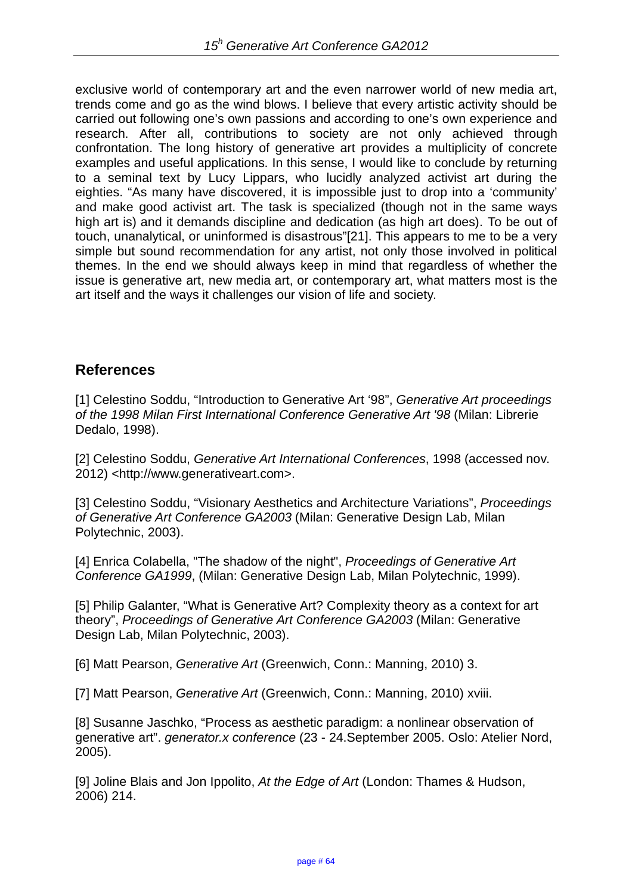exclusive world of contemporary art and the even narrower world of new media art, trends come and go as the wind blows. I believe that every artistic activity should be carried out following one's own passions and according to one's own experience and research. After all, contributions to society are not only achieved through confrontation. The long history of generative art provides a multiplicity of concrete examples and useful applications. In this sense, I would like to conclude by returning to a seminal text by Lucy Lippars, who lucidly analyzed activist art during the eighties. "As many have discovered, it is impossible just to drop into a 'community' and make good activist art. The task is specialized (though not in the same ways high art is) and it demands discipline and dedication (as high art does). To be out of touch, unanalytical, or uninformed is disastrous"[21]. This appears to me to be a very simple but sound recommendation for any artist, not only those involved in political themes. In the end we should always keep in mind that regardless of whether the issue is generative art, new media art, or contemporary art, what matters most is the art itself and the ways it challenges our vision of life and society.

### **References**

[1] Celestino Soddu, "Introduction to Generative Art '98", *Generative Art proceedings of the 1998 Milan First International Conference Generative Art '98* (Milan: Librerie Dedalo, 1998).

[2] Celestino Soddu, *Generative Art International Conferences*, 1998 (accessed nov. 2012) <http://www.generativeart.com>.

[3] Celestino Soddu, "Visionary Aesthetics and Architecture Variations", *Proceedings of Generative Art Conference GA2003* (Milan: Generative Design Lab, Milan Polytechnic, 2003).

[4] Enrica Colabella, "The shadow of the night", *Proceedings of Generative Art Conference GA1999*, (Milan: Generative Design Lab, Milan Polytechnic, 1999).

[5] Philip Galanter, "What is Generative Art? Complexity theory as a context for art theory", *Proceedings of Generative Art Conference GA2003* (Milan: Generative Design Lab, Milan Polytechnic, 2003).

[6] Matt Pearson, *Generative Art* (Greenwich, Conn.: Manning, 2010) 3.

[7] Matt Pearson, *Generative Art* (Greenwich, Conn.: Manning, 2010) xviii.

[8] Susanne Jaschko, "Process as aesthetic paradigm: a nonlinear observation of generative art". *generator.x conference* (23 - 24.September 2005. Oslo: Atelier Nord, 2005).

[9] Joline Blais and Jon Ippolito, *At the Edge of Art* (London: Thames & Hudson, 2006) 214.